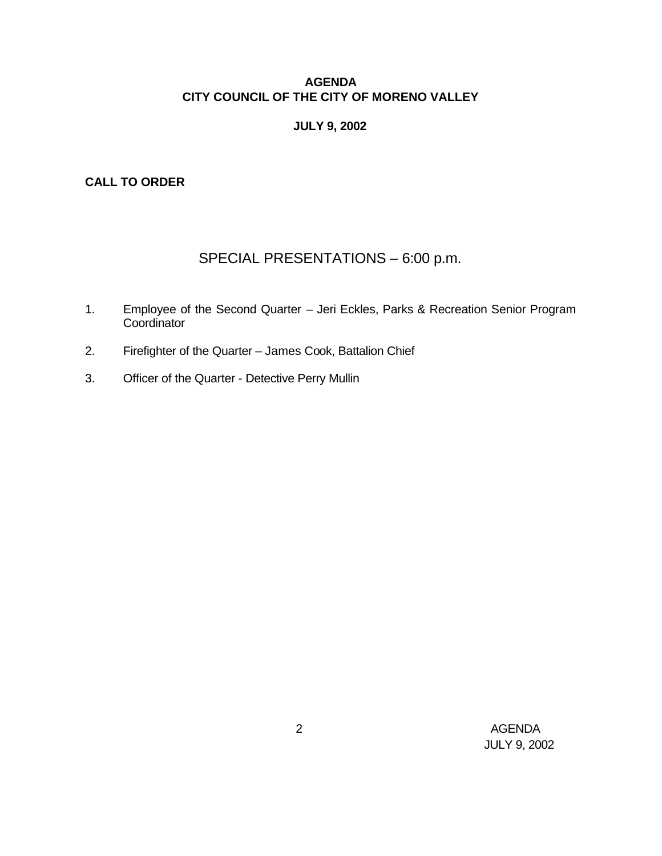## **AGENDA CITY COUNCIL OF THE CITY OF MORENO VALLEY**

## **JULY 9, 2002**

**CALL TO ORDER**

# SPECIAL PRESENTATIONS – 6:00 p.m.

- 1. Employee of the Second Quarter Jeri Eckles, Parks & Recreation Senior Program Coordinator
- 2. Firefighter of the Quarter James Cook, Battalion Chief
- 3. Officer of the Quarter Detective Perry Mullin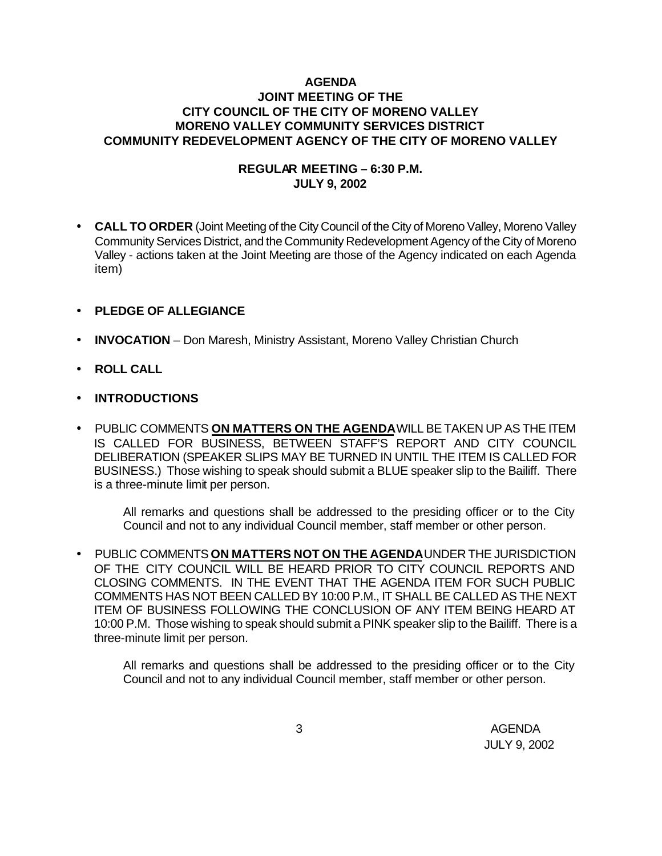## **AGENDA JOINT MEETING OF THE CITY COUNCIL OF THE CITY OF MORENO VALLEY MORENO VALLEY COMMUNITY SERVICES DISTRICT COMMUNITY REDEVELOPMENT AGENCY OF THE CITY OF MORENO VALLEY**

## **REGULAR MEETING – 6:30 P.M. JULY 9, 2002**

• **CALL TO ORDER** (Joint Meeting of the City Council of the City of Moreno Valley, Moreno Valley Community Services District, and the Community Redevelopment Agency of the City of Moreno Valley - actions taken at the Joint Meeting are those of the Agency indicated on each Agenda item)

## • **PLEDGE OF ALLEGIANCE**

- **INVOCATION** Don Maresh, Ministry Assistant, Moreno Valley Christian Church
- **ROLL CALL**
- **INTRODUCTIONS**
- PUBLIC COMMENTS **ON MATTERS ON THE AGENDA** WILL BE TAKEN UP AS THE ITEM IS CALLED FOR BUSINESS, BETWEEN STAFF'S REPORT AND CITY COUNCIL DELIBERATION (SPEAKER SLIPS MAY BE TURNED IN UNTIL THE ITEM IS CALLED FOR BUSINESS.) Those wishing to speak should submit a BLUE speaker slip to the Bailiff. There is a three-minute limit per person.

All remarks and questions shall be addressed to the presiding officer or to the City Council and not to any individual Council member, staff member or other person.

• PUBLIC COMMENTS **ON MATTERS NOT ON THE AGENDA** UNDER THE JURISDICTION OF THE CITY COUNCIL WILL BE HEARD PRIOR TO CITY COUNCIL REPORTS AND CLOSING COMMENTS. IN THE EVENT THAT THE AGENDA ITEM FOR SUCH PUBLIC COMMENTS HAS NOT BEEN CALLED BY 10:00 P.M., IT SHALL BE CALLED AS THE NEXT ITEM OF BUSINESS FOLLOWING THE CONCLUSION OF ANY ITEM BEING HEARD AT 10:00 P.M. Those wishing to speak should submit a PINK speaker slip to the Bailiff. There is a three-minute limit per person.

All remarks and questions shall be addressed to the presiding officer or to the City Council and not to any individual Council member, staff member or other person.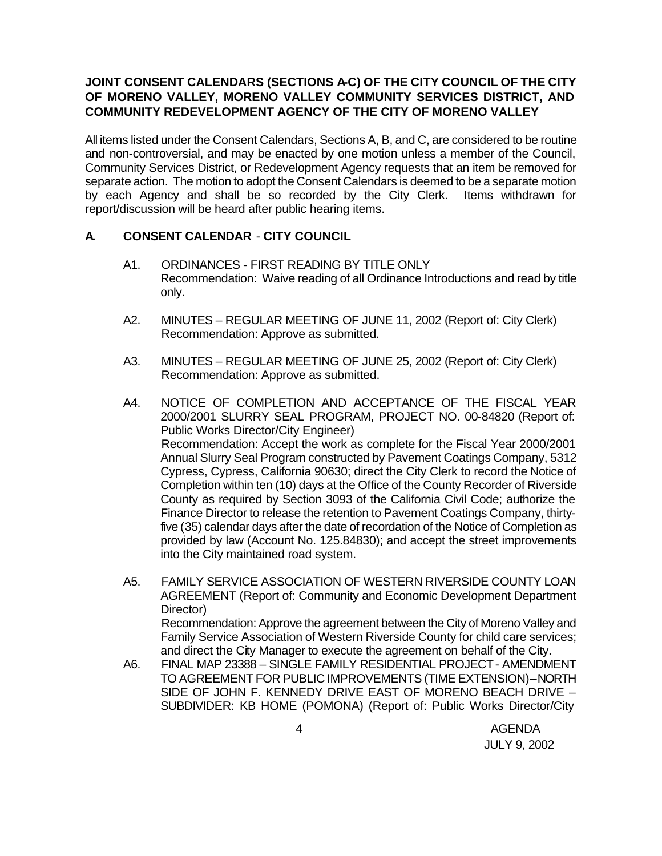## JOINT CONSENT CALENDARS (SECTIONS A-C) OF THE CITY COUNCIL OF THE CITY **OF MORENO VALLEY, MORENO VALLEY COMMUNITY SERVICES DISTRICT, AND COMMUNITY REDEVELOPMENT AGENCY OF THE CITY OF MORENO VALLEY**

All items listed under the Consent Calendars, Sections A, B, and C, are considered to be routine and non-controversial, and may be enacted by one motion unless a member of the Council, Community Services District, or Redevelopment Agency requests that an item be removed for separate action. The motion to adopt the Consent Calendars is deemed to be a separate motion by each Agency and shall be so recorded by the City Clerk. Items withdrawn for report/discussion will be heard after public hearing items.

### **A. CONSENT CALENDAR** - **CITY COUNCIL**

- A1. ORDINANCES FIRST READING BY TITLE ONLY Recommendation: Waive reading of all Ordinance Introductions and read by title only.
- A2. MINUTES REGULAR MEETING OF JUNE 11, 2002 (Report of: City Clerk) Recommendation: Approve as submitted.
- A3. MINUTES REGULAR MEETING OF JUNE 25, 2002 (Report of: City Clerk) Recommendation: Approve as submitted.
- A4. NOTICE OF COMPLETION AND ACCEPTANCE OF THE FISCAL YEAR 2000/2001 SLURRY SEAL PROGRAM, PROJECT NO. 00-84820 (Report of: Public Works Director/City Engineer) Recommendation: Accept the work as complete for the Fiscal Year 2000/2001 Annual Slurry Seal Program constructed by Pavement Coatings Company, 5312 Cypress, Cypress, California 90630; direct the City Clerk to record the Notice of Completion within ten (10) days at the Office of the County Recorder of Riverside County as required by Section 3093 of the California Civil Code; authorize the Finance Director to release the retention to Pavement Coatings Company, thirtyfive (35) calendar days after the date of recordation of the Notice of Completion as provided by law (Account No. 125.84830); and accept the street improvements into the City maintained road system.
- A5. FAMILY SERVICE ASSOCIATION OF WESTERN RIVERSIDE COUNTY LOAN AGREEMENT (Report of: Community and Economic Development Department Director) Recommendation: Approve the agreement between the City of Moreno Valley and Family Service Association of Western Riverside County for child care services;
- and direct the City Manager to execute the agreement on behalf of the City. A6. FINAL MAP 23388 – SINGLE FAMILY RESIDENTIAL PROJECT - AMENDMENT TO AGREEMENT FOR PUBLIC IMPROVEMENTS (TIME EXTENSION) – NORTH SIDE OF JOHN F. KENNEDY DRIVE EAST OF MORENO BEACH DRIVE – SUBDIVIDER: KB HOME (POMONA) (Report of: Public Works Director/City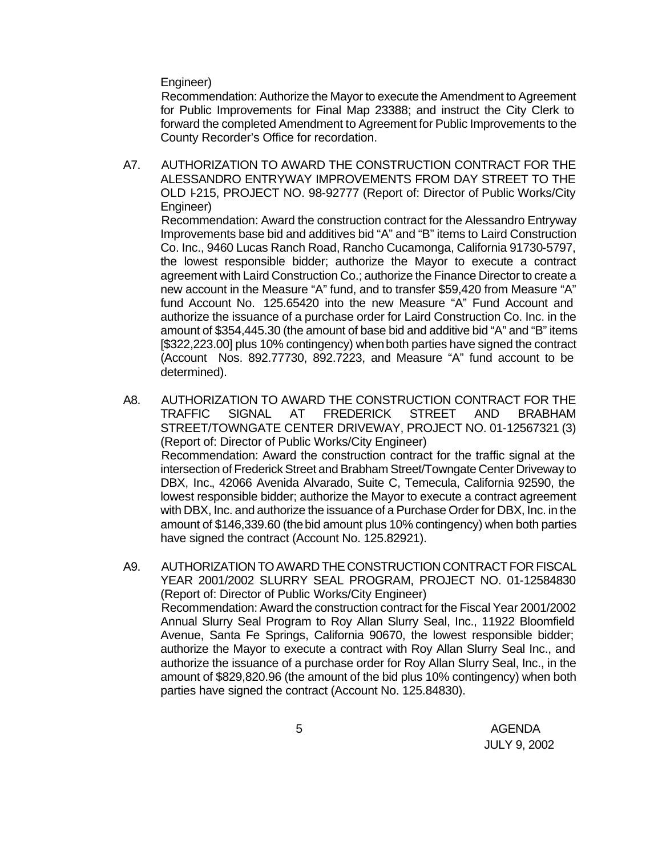Engineer)

Recommendation: Authorize the Mayor to execute the Amendment to Agreement for Public Improvements for Final Map 23388; and instruct the City Clerk to forward the completed Amendment to Agreement for Public Improvements to the County Recorder's Office for recordation.

A7. AUTHORIZATION TO AWARD THE CONSTRUCTION CONTRACT FOR THE ALESSANDRO ENTRYWAY IMPROVEMENTS FROM DAY STREET TO THE OLD I-215, PROJECT NO. 98-92777 (Report of: Director of Public Works/City Engineer)

Recommendation: Award the construction contract for the Alessandro Entryway Improvements base bid and additives bid "A" and "B" items to Laird Construction Co. Inc., 9460 Lucas Ranch Road, Rancho Cucamonga, California 91730-5797, the lowest responsible bidder; authorize the Mayor to execute a contract agreement with Laird Construction Co.; authorize the Finance Director to create a new account in the Measure "A" fund, and to transfer \$59,420 from Measure "A" fund Account No. 125.65420 into the new Measure "A" Fund Account and authorize the issuance of a purchase order for Laird Construction Co. Inc. in the amount of \$354,445.30 (the amount of base bid and additive bid "A" and "B" items [\$322,223.00] plus 10% contingency) when both parties have signed the contract (Account Nos. 892.77730, 892.7223, and Measure "A" fund account to be determined).

- A8. AUTHORIZATION TO AWARD THE CONSTRUCTION CONTRACT FOR THE TRAFFIC SIGNAL AT FREDERICK STREET AND BRABHAM STREET/TOWNGATE CENTER DRIVEWAY, PROJECT NO. 01-12567321 (3) (Report of: Director of Public Works/City Engineer) Recommendation: Award the construction contract for the traffic signal at the intersection of Frederick Street and Brabham Street/Towngate Center Driveway to DBX, Inc., 42066 Avenida Alvarado, Suite C, Temecula, California 92590, the lowest responsible bidder; authorize the Mayor to execute a contract agreement with DBX, Inc. and authorize the issuance of a Purchase Order for DBX, Inc. in the amount of \$146,339.60 (the bid amount plus 10% contingency) when both parties have signed the contract (Account No. 125.82921).
- A9. AUTHORIZATION TO AWARD THE CONSTRUCTION CONTRACT FOR FISCAL YEAR 2001/2002 SLURRY SEAL PROGRAM, PROJECT NO. 01-12584830 (Report of: Director of Public Works/City Engineer) Recommendation: Award the construction contract for the Fiscal Year 2001/2002 Annual Slurry Seal Program to Roy Allan Slurry Seal, Inc., 11922 Bloomfield Avenue, Santa Fe Springs, California 90670, the lowest responsible bidder; authorize the Mayor to execute a contract with Roy Allan Slurry Seal Inc., and authorize the issuance of a purchase order for Roy Allan Slurry Seal, Inc., in the amount of \$829,820.96 (the amount of the bid plus 10% contingency) when both parties have signed the contract (Account No. 125.84830).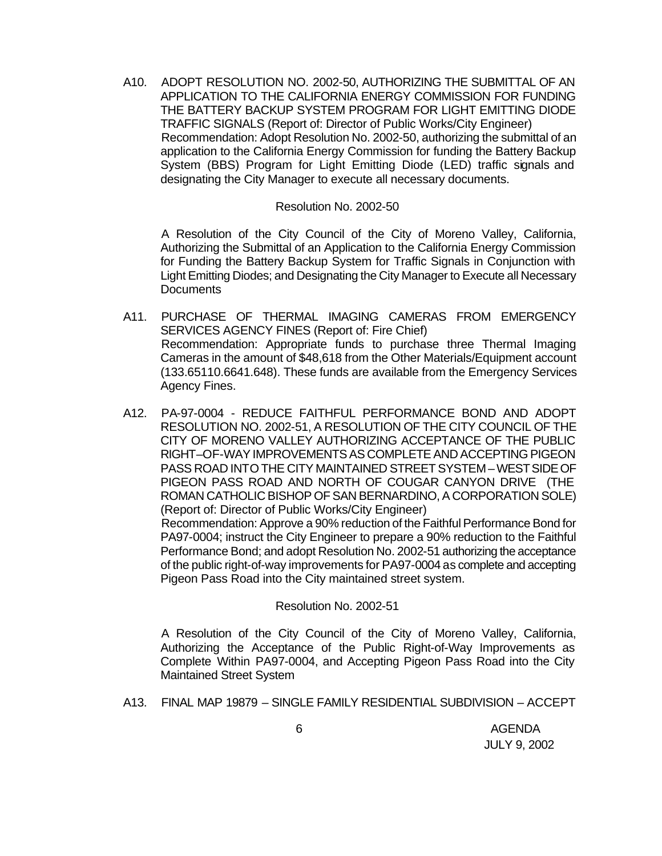A10. ADOPT RESOLUTION NO. 2002-50, AUTHORIZING THE SUBMITTAL OF AN APPLICATION TO THE CALIFORNIA ENERGY COMMISSION FOR FUNDING THE BATTERY BACKUP SYSTEM PROGRAM FOR LIGHT EMITTING DIODE TRAFFIC SIGNALS (Report of: Director of Public Works/City Engineer) Recommendation: Adopt Resolution No. 2002-50, authorizing the submittal of an application to the California Energy Commission for funding the Battery Backup System (BBS) Program for Light Emitting Diode (LED) traffic signals and designating the City Manager to execute all necessary documents.

#### Resolution No. 2002-50

A Resolution of the City Council of the City of Moreno Valley, California, Authorizing the Submittal of an Application to the California Energy Commission for Funding the Battery Backup System for Traffic Signals in Conjunction with Light Emitting Diodes; and Designating the City Manager to Execute all Necessary **Documents** 

- A11. PURCHASE OF THERMAL IMAGING CAMERAS FROM EMERGENCY SERVICES AGENCY FINES (Report of: Fire Chief) Recommendation: Appropriate funds to purchase three Thermal Imaging Cameras in the amount of \$48,618 from the Other Materials/Equipment account (133.65110.6641.648). These funds are available from the Emergency Services Agency Fines.
- A12. PA-97-0004 REDUCE FAITHFUL PERFORMANCE BOND AND ADOPT RESOLUTION NO. 2002-51, A RESOLUTION OF THE CITY COUNCIL OF THE CITY OF MORENO VALLEY AUTHORIZING ACCEPTANCE OF THE PUBLIC RIGHT–OF-WAY IMPROVEMENTS AS COMPLETE AND ACCEPTING PIGEON PASS ROAD INTO THE CITY MAINTAINED STREET SYSTEM – WEST SIDE OF PIGEON PASS ROAD AND NORTH OF COUGAR CANYON DRIVE (THE ROMAN CATHOLIC BISHOP OF SAN BERNARDINO, A CORPORATION SOLE) (Report of: Director of Public Works/City Engineer)

Recommendation: Approve a 90% reduction of the Faithful Performance Bond for PA97-0004; instruct the City Engineer to prepare a 90% reduction to the Faithful Performance Bond; and adopt Resolution No. 2002-51 authorizing the acceptance of the public right-of-way improvements for PA97-0004 as complete and accepting Pigeon Pass Road into the City maintained street system.

#### Resolution No. 2002-51

A Resolution of the City Council of the City of Moreno Valley, California, Authorizing the Acceptance of the Public Right-of-Way Improvements as Complete Within PA97-0004, and Accepting Pigeon Pass Road into the City Maintained Street System

A13. FINAL MAP 19879 – SINGLE FAMILY RESIDENTIAL SUBDIVISION – ACCEPT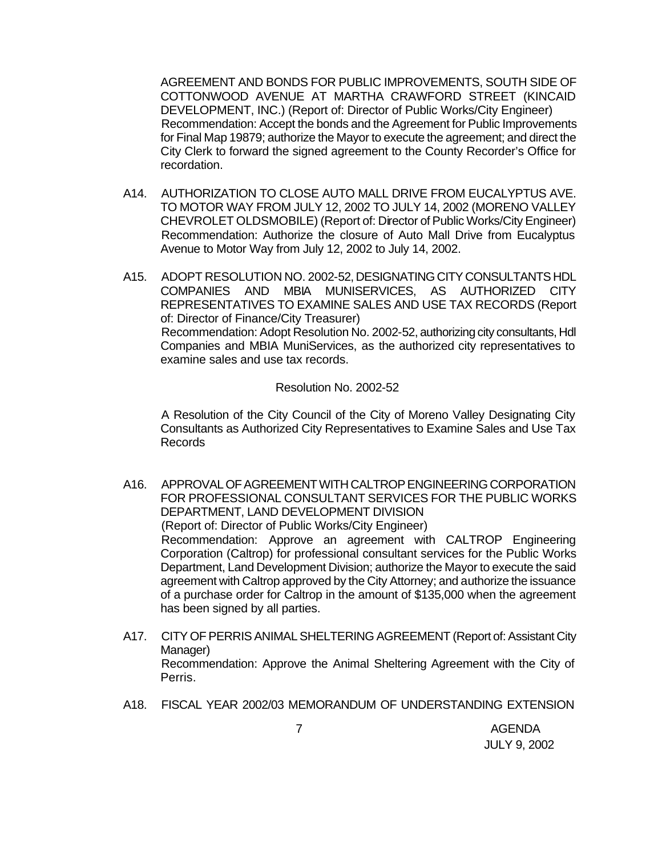AGREEMENT AND BONDS FOR PUBLIC IMPROVEMENTS, SOUTH SIDE OF COTTONWOOD AVENUE AT MARTHA CRAWFORD STREET (KINCAID DEVELOPMENT, INC.) (Report of: Director of Public Works/City Engineer) Recommendation: Accept the bonds and the Agreement for Public Improvements for Final Map 19879; authorize the Mayor to execute the agreement; and direct the City Clerk to forward the signed agreement to the County Recorder's Office for recordation.

- A14. AUTHORIZATION TO CLOSE AUTO MALL DRIVE FROM EUCALYPTUS AVE. TO MOTOR WAY FROM JULY 12, 2002 TO JULY 14, 2002 (MORENO VALLEY CHEVROLET OLDSMOBILE) (Report of: Director of Public Works/City Engineer) Recommendation: Authorize the closure of Auto Mall Drive from Eucalyptus Avenue to Motor Way from July 12, 2002 to July 14, 2002.
- A15. ADOPT RESOLUTION NO. 2002-52, DESIGNATING CITY CONSULTANTS HDL COMPANIES AND MBIA MUNISERVICES, AS AUTHORIZED CITY REPRESENTATIVES TO EXAMINE SALES AND USE TAX RECORDS (Report of: Director of Finance/City Treasurer) Recommendation: Adopt Resolution No. 2002-52, authorizing city consultants, Hdl Companies and MBIA MuniServices, as the authorized city representatives to examine sales and use tax records.

#### Resolution No. 2002-52

A Resolution of the City Council of the City of Moreno Valley Designating City Consultants as Authorized City Representatives to Examine Sales and Use Tax Records

- A16. APPROVAL OF AGREEMENT WITH CALTROP ENGINEERING CORPORATION FOR PROFESSIONAL CONSULTANT SERVICES FOR THE PUBLIC WORKS DEPARTMENT, LAND DEVELOPMENT DIVISION (Report of: Director of Public Works/City Engineer) Recommendation: Approve an agreement with CALTROP Engineering Corporation (Caltrop) for professional consultant services for the Public Works Department, Land Development Division; authorize the Mayor to execute the said agreement with Caltrop approved by the City Attorney; and authorize the issuance of a purchase order for Caltrop in the amount of \$135,000 when the agreement has been signed by all parties.
- A17. CITY OF PERRIS ANIMAL SHELTERING AGREEMENT (Report of: Assistant City Manager) Recommendation: Approve the Animal Sheltering Agreement with the City of Perris.
- A18. FISCAL YEAR 2002/03 MEMORANDUM OF UNDERSTANDING EXTENSION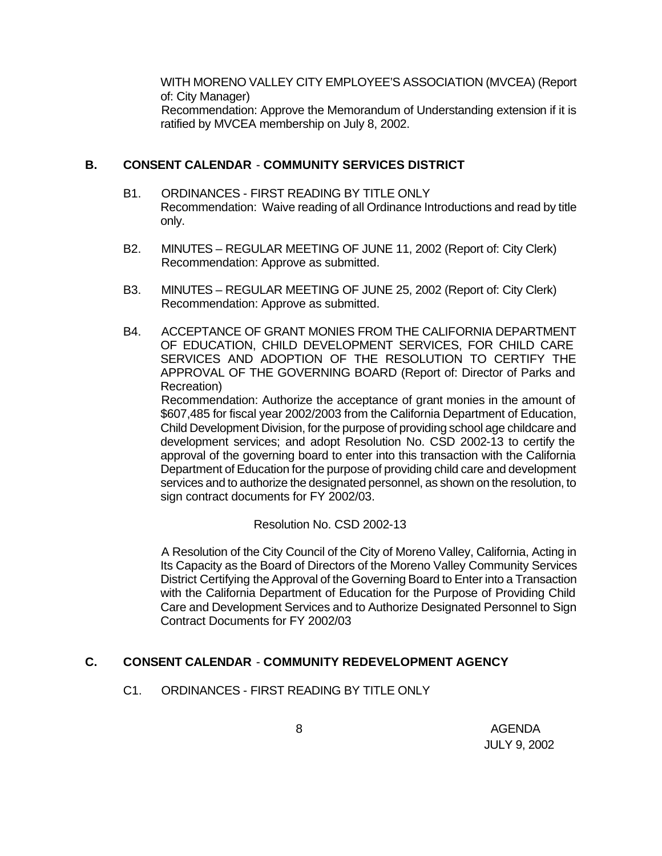WITH MORENO VALLEY CITY EMPLOYEE'S ASSOCIATION (MVCEA) (Report of: City Manager) Recommendation: Approve the Memorandum of Understanding extension if it is ratified by MVCEA membership on July 8, 2002.

#### **B. CONSENT CALENDAR** - **COMMUNITY SERVICES DISTRICT**

- B1. ORDINANCES FIRST READING BY TITLE ONLY Recommendation: Waive reading of all Ordinance Introductions and read by title only.
- B2. MINUTES REGULAR MEETING OF JUNE 11, 2002 (Report of: City Clerk) Recommendation: Approve as submitted.
- B3. MINUTES REGULAR MEETING OF JUNE 25, 2002 (Report of: City Clerk) Recommendation: Approve as submitted.
- B4. ACCEPTANCE OF GRANT MONIES FROM THE CALIFORNIA DEPARTMENT OF EDUCATION, CHILD DEVELOPMENT SERVICES, FOR CHILD CARE SERVICES AND ADOPTION OF THE RESOLUTION TO CERTIFY THE APPROVAL OF THE GOVERNING BOARD (Report of: Director of Parks and Recreation)

Recommendation: Authorize the acceptance of grant monies in the amount of \$607,485 for fiscal year 2002/2003 from the California Department of Education, Child Development Division, for the purpose of providing school age childcare and development services; and adopt Resolution No. CSD 2002-13 to certify the approval of the governing board to enter into this transaction with the California Department of Education for the purpose of providing child care and development services and to authorize the designated personnel, as shown on the resolution, to sign contract documents for FY 2002/03.

Resolution No. CSD 2002-13

A Resolution of the City Council of the City of Moreno Valley, California, Acting in Its Capacity as the Board of Directors of the Moreno Valley Community Services District Certifying the Approval of the Governing Board to Enter into a Transaction with the California Department of Education for the Purpose of Providing Child Care and Development Services and to Authorize Designated Personnel to Sign Contract Documents for FY 2002/03

### **C. CONSENT CALENDAR** - **COMMUNITY REDEVELOPMENT AGENCY**

C1. ORDINANCES - FIRST READING BY TITLE ONLY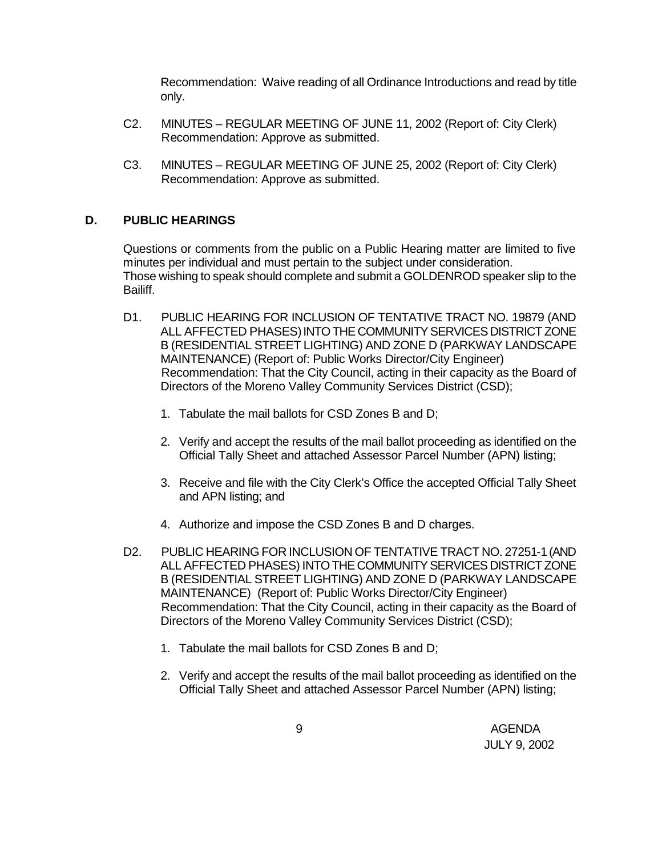Recommendation: Waive reading of all Ordinance Introductions and read by title only.

- C2. MINUTES REGULAR MEETING OF JUNE 11, 2002 (Report of: City Clerk) Recommendation: Approve as submitted.
- C3. MINUTES REGULAR MEETING OF JUNE 25, 2002 (Report of: City Clerk) Recommendation: Approve as submitted.

## **D. PUBLIC HEARINGS**

Questions or comments from the public on a Public Hearing matter are limited to five minutes per individual and must pertain to the subject under consideration. Those wishing to speak should complete and submit a GOLDENROD speaker slip to the Bailiff.

- D1. PUBLIC HEARING FOR INCLUSION OF TENTATIVE TRACT NO. 19879 (AND ALL AFFECTED PHASES) INTO THE COMMUNITY SERVICES DISTRICT ZONE B (RESIDENTIAL STREET LIGHTING) AND ZONE D (PARKWAY LANDSCAPE MAINTENANCE) (Report of: Public Works Director/City Engineer) Recommendation: That the City Council, acting in their capacity as the Board of Directors of the Moreno Valley Community Services District (CSD);
	- 1. Tabulate the mail ballots for CSD Zones B and D;
	- 2. Verify and accept the results of the mail ballot proceeding as identified on the Official Tally Sheet and attached Assessor Parcel Number (APN) listing;
	- 3. Receive and file with the City Clerk's Office the accepted Official Tally Sheet and APN listing; and
	- 4. Authorize and impose the CSD Zones B and D charges.
- D2. PUBLIC HEARING FOR INCLUSION OF TENTATIVE TRACT NO. 27251-1 (AND ALL AFFECTED PHASES) INTO THE COMMUNITY SERVICES DISTRICT ZONE B (RESIDENTIAL STREET LIGHTING) AND ZONE D (PARKWAY LANDSCAPE MAINTENANCE) (Report of: Public Works Director/City Engineer) Recommendation: That the City Council, acting in their capacity as the Board of Directors of the Moreno Valley Community Services District (CSD);
	- 1. Tabulate the mail ballots for CSD Zones B and D;
	- 2. Verify and accept the results of the mail ballot proceeding as identified on the Official Tally Sheet and attached Assessor Parcel Number (APN) listing;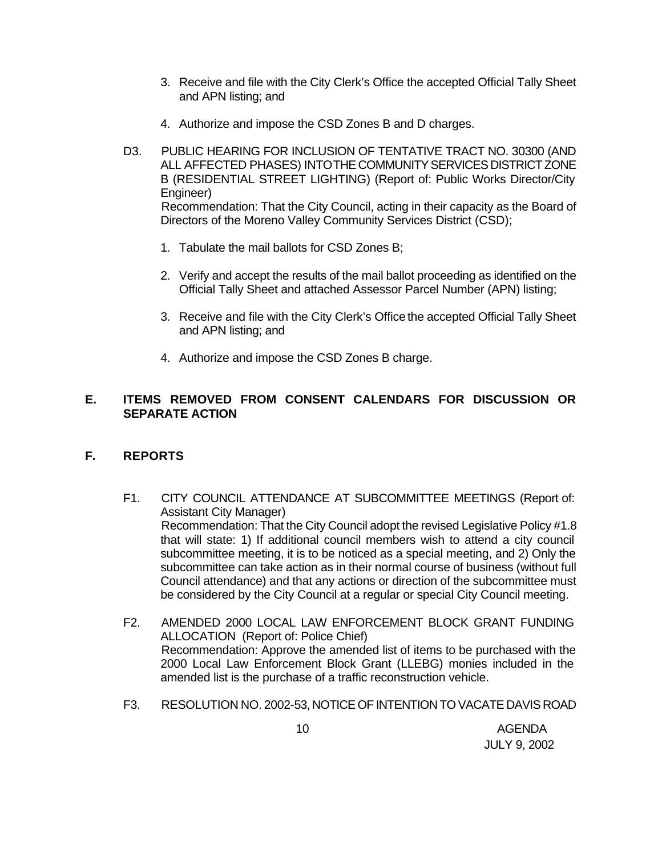- 3. Receive and file with the City Clerk's Office the accepted Official Tally Sheet and APN listing; and
- 4. Authorize and impose the CSD Zones B and D charges.
- D3. PUBLIC HEARING FOR INCLUSION OF TENTATIVE TRACT NO. 30300 (AND ALL AFFECTED PHASES) INTO THE COMMUNITY SERVICES DISTRICT ZONE B (RESIDENTIAL STREET LIGHTING) (Report of: Public Works Director/City Engineer) Recommendation: That the City Council, acting in their capacity as the Board of Directors of the Moreno Valley Community Services District (CSD);
	- 1. Tabulate the mail ballots for CSD Zones B;
	- 2. Verify and accept the results of the mail ballot proceeding as identified on the Official Tally Sheet and attached Assessor Parcel Number (APN) listing;
	- 3. Receive and file with the City Clerk's Office the accepted Official Tally Sheet and APN listing; and
	- 4. Authorize and impose the CSD Zones B charge.

## **E. ITEMS REMOVED FROM CONSENT CALENDARS FOR DISCUSSION OR SEPARATE ACTION**

## **F. REPORTS**

- F1. CITY COUNCIL ATTENDANCE AT SUBCOMMITTEE MEETINGS (Report of: Assistant City Manager) Recommendation: That the City Council adopt the revised Legislative Policy #1.8 that will state: 1) If additional council members wish to attend a city council subcommittee meeting, it is to be noticed as a special meeting, and 2) Only the subcommittee can take action as in their normal course of business (without full Council attendance) and that any actions or direction of the subcommittee must be considered by the City Council at a regular or special City Council meeting.
- F2. AMENDED 2000 LOCAL LAW ENFORCEMENT BLOCK GRANT FUNDING ALLOCATION (Report of: Police Chief) Recommendation: Approve the amended list of items to be purchased with the 2000 Local Law Enforcement Block Grant (LLEBG) monies included in the amended list is the purchase of a traffic reconstruction vehicle.
- F3. RESOLUTION NO. 2002-53, NOTICE OF INTENTION TO VACATE DAVIS ROAD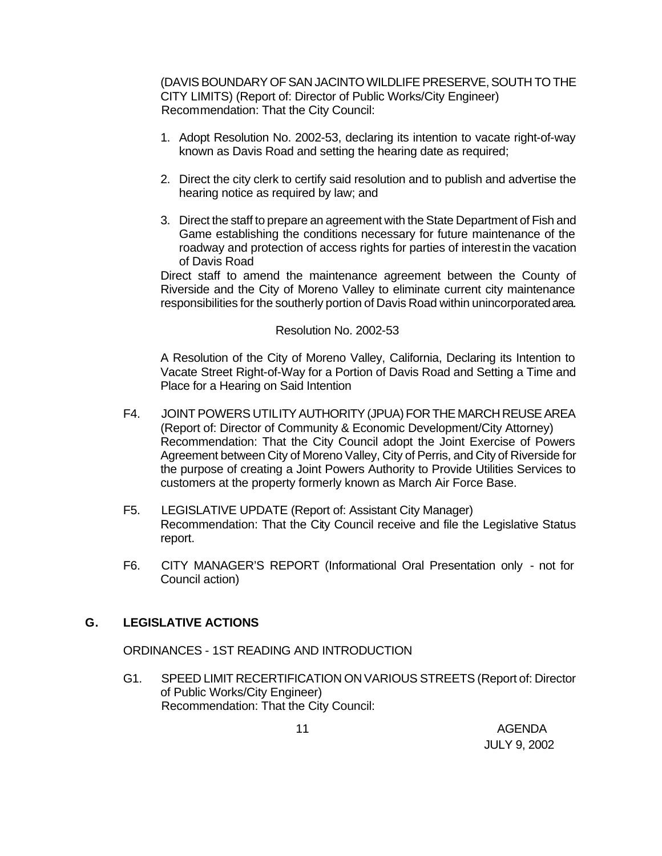(DAVIS BOUNDARY OF SAN JACINTO WILDLIFE PRESERVE, SOUTH TO THE CITY LIMITS) (Report of: Director of Public Works/City Engineer) Recommendation: That the City Council:

- 1. Adopt Resolution No. 2002-53, declaring its intention to vacate right-of-way known as Davis Road and setting the hearing date as required;
- 2. Direct the city clerk to certify said resolution and to publish and advertise the hearing notice as required by law; and
- 3. Direct the staff to prepare an agreement with the State Department of Fish and Game establishing the conditions necessary for future maintenance of the roadway and protection of access rights for parties of interest in the vacation of Davis Road

Direct staff to amend the maintenance agreement between the County of Riverside and the City of Moreno Valley to eliminate current city maintenance responsibilities for the southerly portion of Davis Road within unincorporated area.

#### Resolution No. 2002-53

A Resolution of the City of Moreno Valley, California, Declaring its Intention to Vacate Street Right-of-Way for a Portion of Davis Road and Setting a Time and Place for a Hearing on Said Intention

- F4. JOINT POWERS UTILITY AUTHORITY (JPUA) FOR THE MARCH REUSE AREA (Report of: Director of Community & Economic Development/City Attorney) Recommendation: That the City Council adopt the Joint Exercise of Powers Agreement between City of Moreno Valley, City of Perris, and City of Riverside for the purpose of creating a Joint Powers Authority to Provide Utilities Services to customers at the property formerly known as March Air Force Base.
- F5. LEGISLATIVE UPDATE (Report of: Assistant City Manager) Recommendation: That the City Council receive and file the Legislative Status report.
- F6. CITY MANAGER'S REPORT (Informational Oral Presentation only not for Council action)

### **G. LEGISLATIVE ACTIONS**

ORDINANCES - 1ST READING AND INTRODUCTION

G1. SPEED LIMIT RECERTIFICATION ON VARIOUS STREETS (Report of: Director of Public Works/City Engineer) Recommendation: That the City Council: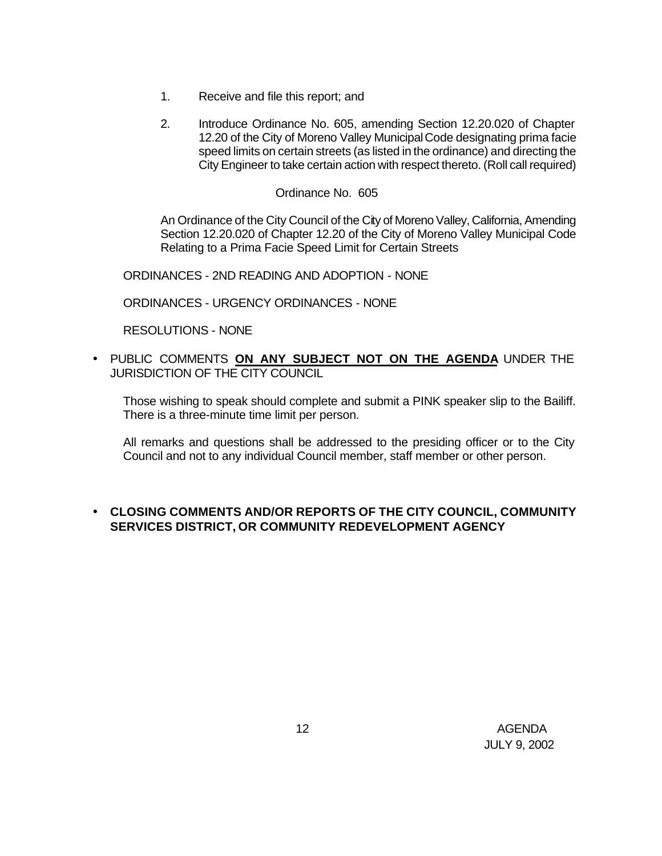- 1. Receive and file this report; and
- 2. Introduce Ordinance No. 605, amending Section 12.20.020 of Chapter 12.20 of the City of Moreno Valley Municipal Code designating prima facie speed limits on certain streets (as listed in the ordinance) and directing the City Engineer to take certain action with respect thereto. (Roll call required)

#### Ordinance No. 605

An Ordinance of the City Council of the City of Moreno Valley, California, Amending Section 12.20.020 of Chapter 12.20 of the City of Moreno Valley Municipal Code Relating to a Prima Facie Speed Limit for Certain Streets

ORDINANCES - 2ND READING AND ADOPTION - NONE

ORDINANCES - URGENCY ORDINANCES - NONE

RESOLUTIONS - NONE

• PUBLIC COMMENTS **ON ANY SUBJECT NOT ON THE AGENDA** UNDER THE JURISDICTION OF THE CITY COUNCIL

Those wishing to speak should complete and submit a PINK speaker slip to the Bailiff. There is a three-minute time limit per person.

All remarks and questions shall be addressed to the presiding officer or to the City Council and not to any individual Council member, staff member or other person.

### • **CLOSING COMMENTS AND/OR REPORTS OF THE CITY COUNCIL, COMMUNITY SERVICES DISTRICT, OR COMMUNITY REDEVELOPMENT AGENCY**